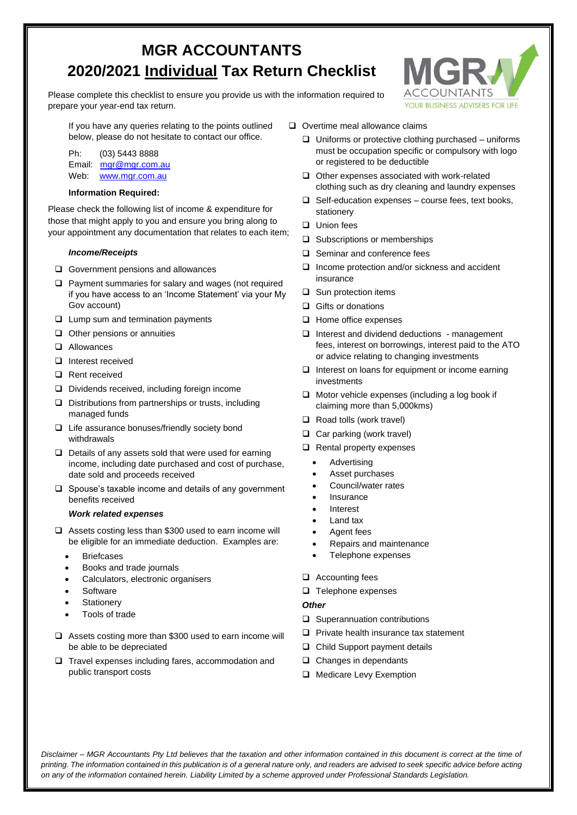# **MGR ACCOUNTANTS 2020/2021 Individual Tax Return Checklist**

Please complete this checklist to ensure you provide us with the information required to prepare your year-end tax return.



If you have any queries relating to the points outlined below, please do not hesitate to contact our office.

Ph: (03) 5443 8888 Email: [mgr@mgr.com.au](mailto:mgr@mgr.com.au) Web: [www.mgr.com.au](http://www.mgr.com.au/)

### **Information Required:**

Please check the following list of income & expenditure for those that might apply to you and ensure you bring along to your appointment any documentation that relates to each item;

## *Income/Receipts*

- ❑ Government pensions and allowances
- ❑ Payment summaries for salary and wages (not required if you have access to an 'Income Statement' via your My Gov account)
- ❑ Lump sum and termination payments
- ❑ Other pensions or annuities
- ❑ Allowances
- ❑ Interest received
- ❑ Rent received
- ❑ Dividends received, including foreign income
- ❑ Distributions from partnerships or trusts, including managed funds
- ❑ Life assurance bonuses/friendly society bond withdrawals
- ❑ Details of any assets sold that were used for earning income, including date purchased and cost of purchase, date sold and proceeds received
- ❑ Spouse's taxable income and details of any government benefits received

#### *Work related expenses*

- ❑ Assets costing less than \$300 used to earn income will be eligible for an immediate deduction. Examples are:
	- **Briefcases**
	- Books and trade journals
	- Calculators, electronic organisers
	- Software
	- **Stationery**
	- Tools of trade
- ❑ Assets costing more than \$300 used to earn income will be able to be depreciated
- ❑ Travel expenses including fares, accommodation and public transport costs
- ❑ Overtime meal allowance claims
	- ❑ Uniforms or protective clothing purchased uniforms must be occupation specific or compulsory with logo or registered to be deductible
	- ❑ Other expenses associated with work-related clothing such as dry cleaning and laundry expenses
	- $\Box$  Self-education expenses course fees, text books, stationery
	- ❑ Union fees
	- ❑ Subscriptions or memberships
	- ❑ Seminar and conference fees
	- ❑ Income protection and/or sickness and accident insurance
	- ❑ Sun protection items
	- ❑ Gifts or donations
	- ❑ Home office expenses
	- ❑ Interest and dividend deductions management fees, interest on borrowings, interest paid to the ATO or advice relating to changing investments
	- ❑ Interest on loans for equipment or income earning investments
	- ❑ Motor vehicle expenses (including a log book if claiming more than 5,000kms)
	- ❑ Road tolls (work travel)
	- ❑ Car parking (work travel)
	- ❑ Rental property expenses
		- **Advertising**
		- Asset purchases
		- Council/water rates
		- **Insurance**
		- **Interest**
		- Land tax
		- Agent fees
		- Repairs and maintenance
		- Telephone expenses

#### ❑ Accounting fees

❑ Telephone expenses

#### *Other*

- ❑ Superannuation contributions
- ❑ Private health insurance tax statement
- ❑ Child Support payment details
- ❑ Changes in dependants
- ❑ Medicare Levy Exemption

*Disclaimer – MGR Accountants Pty Ltd believes that the taxation and other information contained in this document is correct at the time of printing. The information contained in this publication is of a general nature only, and readers are advised to seek specific advice before acting on any of the information contained herein. Liability Limited by a scheme approved under Professional Standards Legislation.*